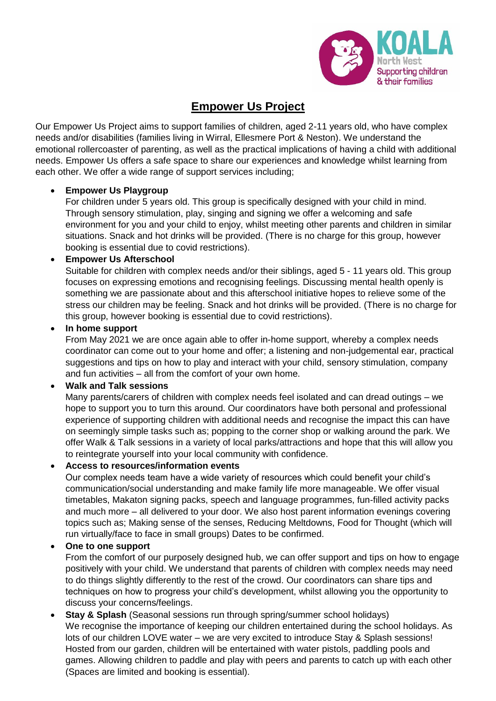

# **Empower Us Project**

Our Empower Us Project aims to support families of children, aged 2-11 years old, who have complex needs and/or disabilities (families living in Wirral, Ellesmere Port & Neston). We understand the emotional rollercoaster of parenting, as well as the practical implications of having a child with additional needs. Empower Us offers a safe space to share our experiences and knowledge whilst learning from each other. We offer a wide range of support services including;

## • **Empower Us Playgroup**

For children under 5 years old. This group is specifically designed with your child in mind. Through sensory stimulation, play, singing and signing we offer a welcoming and safe environment for you and your child to enjoy, whilst meeting other parents and children in similar situations. Snack and hot drinks will be provided. (There is no charge for this group, however booking is essential due to covid restrictions).

## • **Empower Us Afterschool**

Suitable for children with complex needs and/or their siblings, aged 5 - 11 years old. This group focuses on expressing emotions and recognising feelings. Discussing mental health openly is something we are passionate about and this afterschool initiative hopes to relieve some of the stress our children may be feeling. Snack and hot drinks will be provided. (There is no charge for this group, however booking is essential due to covid restrictions).

## • **In home support**

From May 2021 we are once again able to offer in-home support, whereby a complex needs coordinator can come out to your home and offer; a listening and non-judgemental ear, practical suggestions and tips on how to play and interact with your child, sensory stimulation, company and fun activities – all from the comfort of your own home.

## • **Walk and Talk sessions**

Many parents/carers of children with complex needs feel isolated and can dread outings – we hope to support you to turn this around. Our coordinators have both personal and professional experience of supporting children with additional needs and recognise the impact this can have on seemingly simple tasks such as; popping to the corner shop or walking around the park. We offer Walk & Talk sessions in a variety of local parks/attractions and hope that this will allow you to reintegrate yourself into your local community with confidence.

## • **Access to resources/information events**

Our complex needs team have a wide variety of resources which could benefit your child's communication/social understanding and make family life more manageable. We offer visual timetables, Makaton signing packs, speech and language programmes, fun-filled activity packs and much more – all delivered to your door. We also host parent information evenings covering topics such as; Making sense of the senses, Reducing Meltdowns, Food for Thought (which will run virtually/face to face in small groups) Dates to be confirmed.

## • **One to one support**

From the comfort of our purposely designed hub, we can offer support and tips on how to engage positively with your child. We understand that parents of children with complex needs may need to do things slightly differently to the rest of the crowd. Our coordinators can share tips and techniques on how to progress your child's development, whilst allowing you the opportunity to discuss your concerns/feelings.

**Stay & Splash** (Seasonal sessions run through spring/summer school holidays) We recognise the importance of keeping our children entertained during the school holidays. As lots of our children LOVE water – we are very excited to introduce Stay & Splash sessions! Hosted from our garden, children will be entertained with water pistols, paddling pools and games. Allowing children to paddle and play with peers and parents to catch up with each other (Spaces are limited and booking is essential).